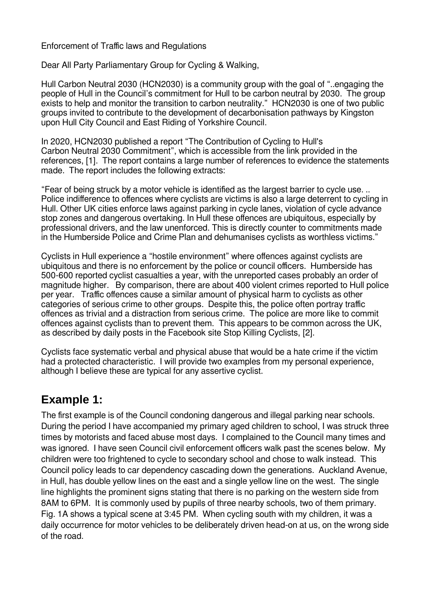Enforcement of Traffic laws and Regulations

Dear All Party Parliamentary Group for Cycling & Walking,

Hull Carbon Neutral 2030 (HCN2030) is a community group with the goal of "..engaging the people of Hull in the Council's commitment for Hull to be carbon neutral by 2030. The group exists to help and monitor the transition to carbon neutrality." HCN2030 is one of two public groups invited to contribute to the development of decarbonisation pathways by Kingston upon Hull City Council and East Riding of Yorkshire Council.

In 2020, HCN2030 published a report "The Contribution of Cycling to Hull's Carbon Neutral 2030 Commitment", which is accessible from the link provided in the references, [1]. The report contains a large number of references to evidence the statements made. The report includes the following extracts:

"Fear of being struck by a motor vehicle is identified as the largest barrier to cycle use. .. Police indifference to offences where cyclists are victims is also a large deterrent to cycling in Hull. Other UK cities enforce laws against parking in cycle lanes, violation of cycle advance stop zones and dangerous overtaking. In Hull these offences are ubiquitous, especially by professional drivers, and the law unenforced. This is directly counter to commitments made in the Humberside Police and Crime Plan and dehumanises cyclists as worthless victims."

Cyclists in Hull experience a "hostile environment" where offences against cyclists are ubiquitous and there is no enforcement by the police or council officers. Humberside has 500-600 reported cyclist casualties a year, with the unreported cases probably an order of magnitude higher. By comparison, there are about 400 violent crimes reported to Hull police per year. Traffic offences cause a similar amount of physical harm to cyclists as other categories of serious crime to other groups. Despite this, the police often portray traffic offences as trivial and a distraction from serious crime. The police are more like to commit offences against cyclists than to prevent them. This appears to be common across the UK, as described by daily posts in the Facebook site Stop Killing Cyclists, [2].

Cyclists face systematic verbal and physical abuse that would be a hate crime if the victim had a protected characteristic. I will provide two examples from my personal experience, although I believe these are typical for any assertive cyclist.

## **Example 1:**

The first example is of the Council condoning dangerous and illegal parking near schools. During the period I have accompanied my primary aged children to school, I was struck three times by motorists and faced abuse most days. I complained to the Council many times and was ignored. I have seen Council civil enforcement officers walk past the scenes below. My children were too frightened to cycle to secondary school and chose to walk instead. This Council policy leads to car dependency cascading down the generations. Auckland Avenue, in Hull, has double yellow lines on the east and a single yellow line on the west. The single line highlights the prominent signs stating that there is no parking on the western side from 8AM to 6PM. It is commonly used by pupils of three nearby schools, two of them primary. Fig. 1A shows a typical scene at 3:45 PM. When cycling south with my children, it was a daily occurrence for motor vehicles to be deliberately driven head-on at us, on the wrong side of the road.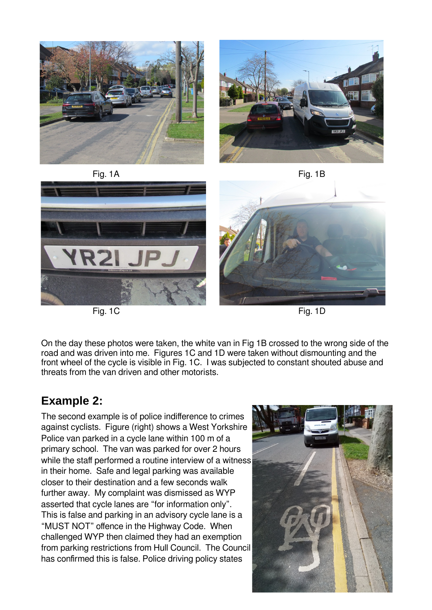

Fig. 1C Fig. 1D

On the day these photos were taken, the white van in Fig 1B crossed to the wrong side of the road and was driven into me. Figures 1C and 1D were taken without dismounting and the front wheel of the cycle is visible in Fig. 1C. I was subjected to constant shouted abuse and threats from the van driven and other motorists.

## **Example 2:**

The second example is of police indifference to crimes against cyclists. Figure (right) shows a West Yorkshire Police van parked in a cycle lane within 100 m of a primary school. The van was parked for over 2 hours while the staff performed a routine interview of a witness in their home. Safe and legal parking was available closer to their destination and a few seconds walk further away. My complaint was dismissed as WYP asserted that cycle lanes are "for information only". This is false and parking in an advisory cycle lane is a "MUST NOT" offence in the Highway Code. When challenged WYP then claimed they had an exemption from parking restrictions from Hull Council. The Council has confirmed this is false. Police driving policy states